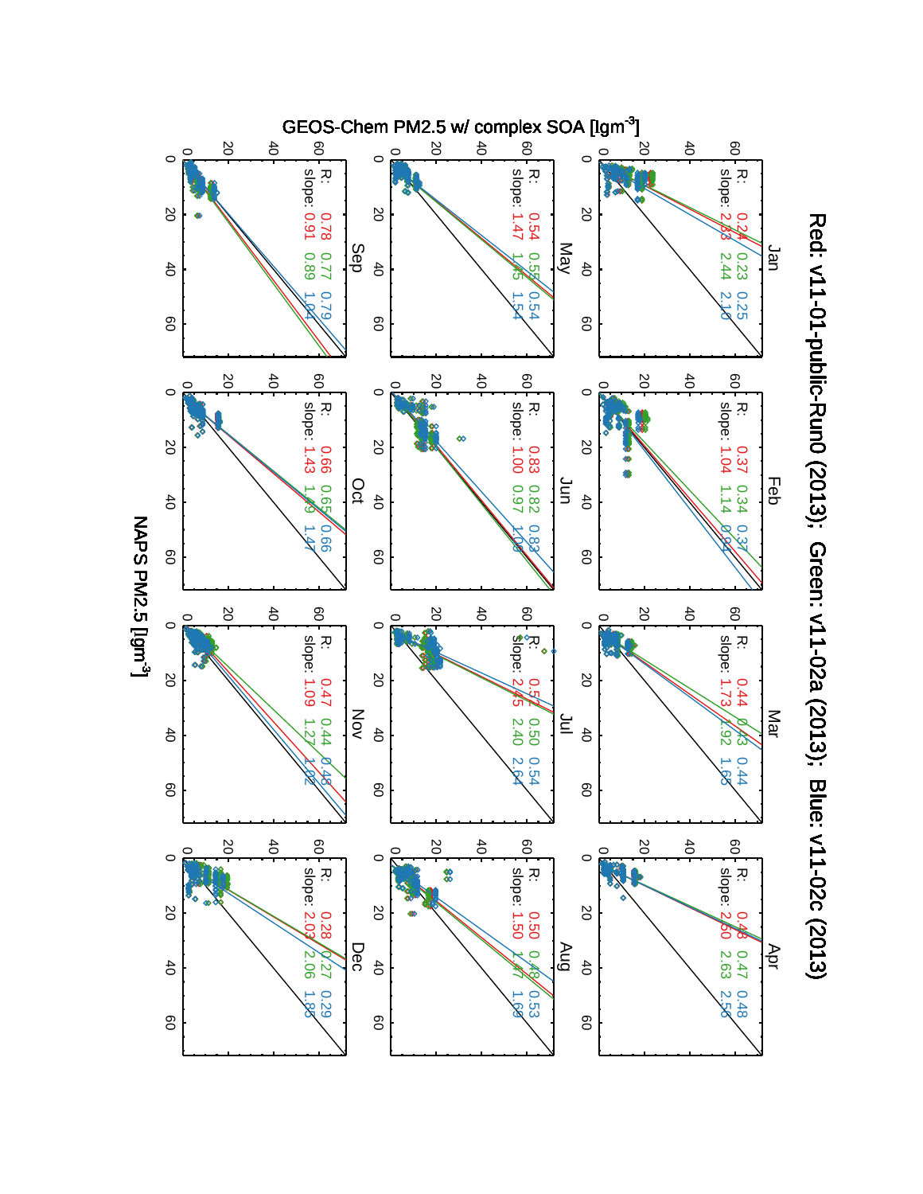

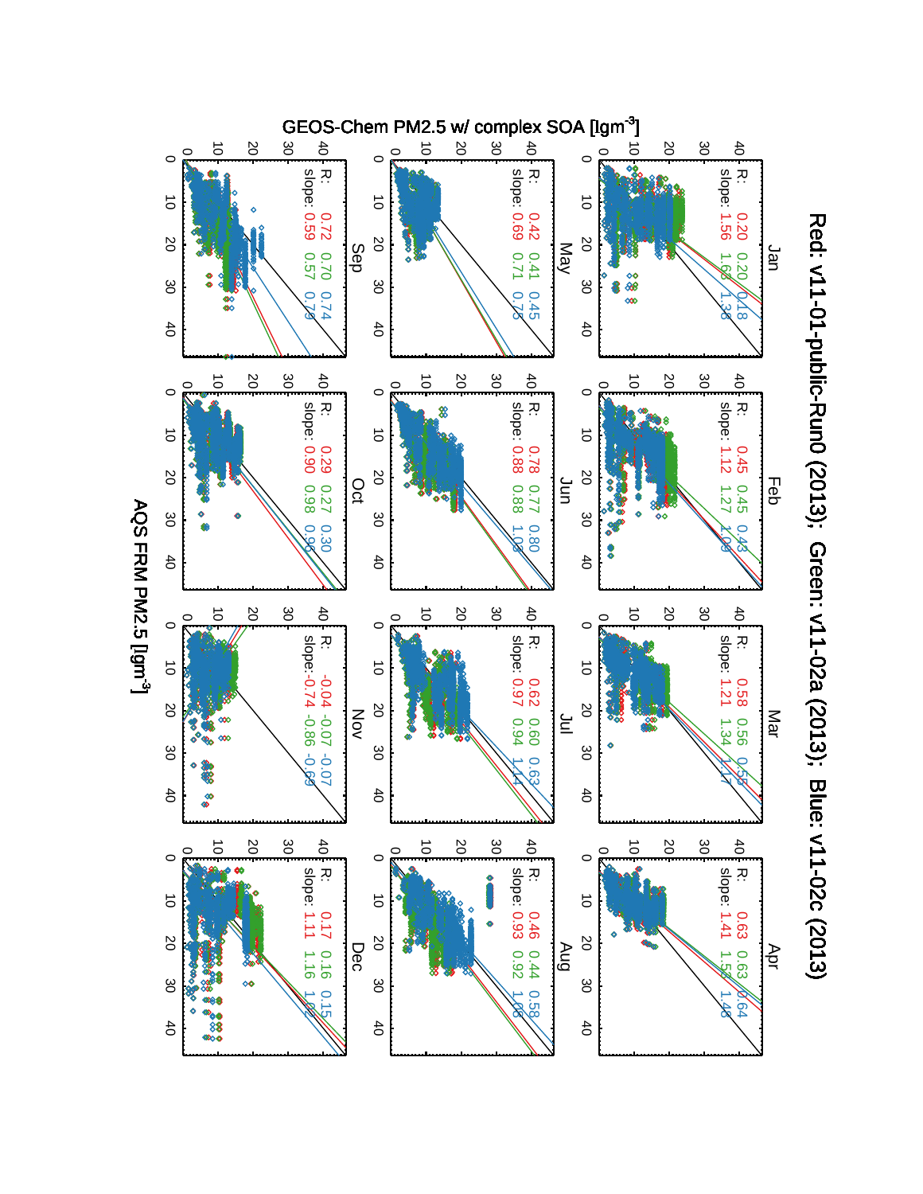

Red: v11-01-public-Runo (2013); Green: v11-02a (2013); Blue: v11-02a (2013); Red: v11-01-public-Run0 (2013); Green: v11-02a (2013); Blue: v11-02c (2013)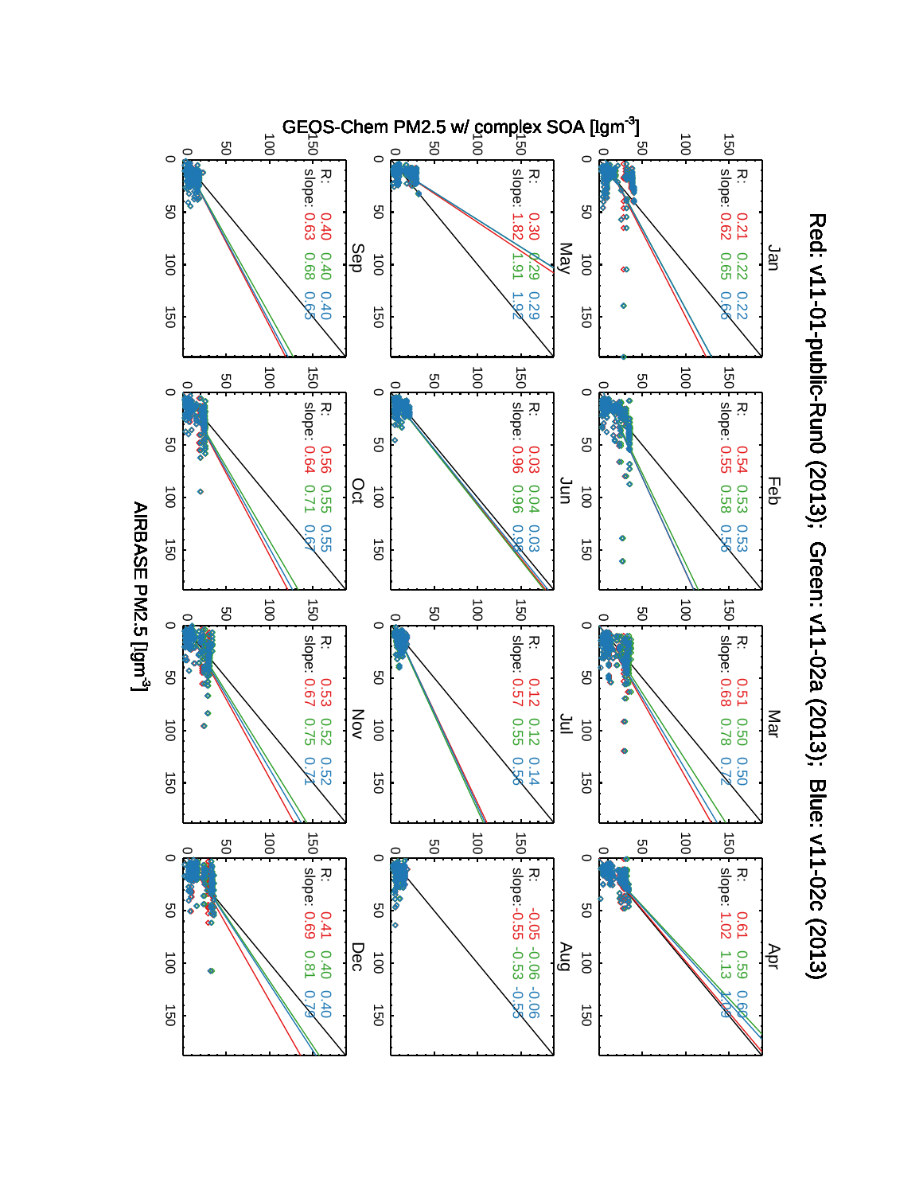

Red: v11-01-public-Rund (2013); Green: v11-02a (2013); Blue: v11-02a (2013); Red: v11-01-public-Run0 (2013); Green: v11-02a (2013); Blue: v11-02c (2013)